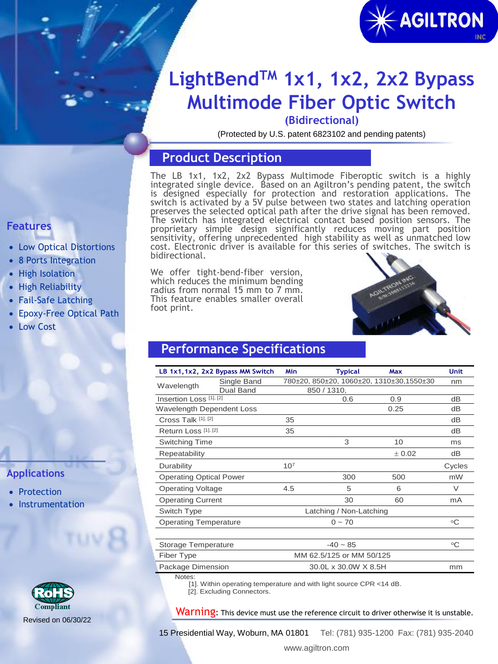

# **LightBendTM 1x1, 1x2, 2x2 Bypass Multimode Fiber Optic Switch**

**(Bidirectional)**

(Protected by U.S. patent 6823102 and pending patents)

## **Product Description**

The LB 1x1, 1x2, 2x2 Bypass Multimode Fiberoptic switch is a highly integrated single device. Based on an Agiltron's pending patent, the switch is designed especially for protection and restoration applications. The switch is activated by a 5V pulse between two states and latching operation preserves the selected optical path after the drive signal has been removed. The switch has integrated electrical contact based position sensors. The proprietary simple design significantly reduces moving part position sensitivity, offering unprecedented high stability as well as unmatched low cost. Electronic driver is available for this series of switches. The switch is bidirectional.

We offer tight-bend-fiber version, which reduces the minimum bending radius from normal 15 mm to 7 mm. This feature enables smaller overall foot print.



## **Performance Specifications**

|                                  | LB 1x1, 1x2, 2x2 Bypass MM Switch                                   | Min             | <b>Typical</b>                           | Max    | <b>Unit</b>     |
|----------------------------------|---------------------------------------------------------------------|-----------------|------------------------------------------|--------|-----------------|
| Wavelength                       | Single Band                                                         |                 | 780±20, 850±20, 1060±20, 1310±30,1550±30 |        | nm              |
|                                  | Dual Band                                                           |                 | 850 / 1310,                              |        |                 |
| Insertion Loss [1], [2]          |                                                                     |                 | 0.6                                      | 0.9    | dВ              |
| <b>Wavelength Dependent Loss</b> |                                                                     |                 |                                          | 0.25   | dВ              |
| Cross Talk [1], [2]              |                                                                     | 35              |                                          |        | dB              |
| Return Loss [1], [2]             |                                                                     | 35              |                                          |        | dВ              |
| Switching Time                   |                                                                     |                 | 3                                        | 10     | ms              |
| Repeatability                    |                                                                     |                 |                                          | ± 0.02 | dВ              |
| Durability                       |                                                                     | 10 <sup>7</sup> |                                          |        | Cycles          |
| <b>Operating Optical Power</b>   |                                                                     |                 | 300                                      | 500    | mW              |
| <b>Operating Voltage</b>         |                                                                     | 4.5             | 5                                        | 6      | V               |
| <b>Operating Current</b>         |                                                                     |                 | 30                                       | 60     | mA              |
| Switch Type                      |                                                                     |                 | Latching / Non-Latching                  |        |                 |
| <b>Operating Temperature</b>     |                                                                     |                 | $0 - 70$                                 |        | $\rm ^{\circ}C$ |
| <b>Storage Temperature</b>       |                                                                     |                 | $-40 \sim 85$                            |        | °C              |
| Fiber Type                       |                                                                     |                 | MM 62.5/125 or MM 50/125                 |        |                 |
| Package Dimension                |                                                                     |                 | mm                                       |        |                 |
| Notes:                           | [1]. Within operating temperature and with light source CPR <14 dB. |                 |                                          |        |                 |

[2]. Excluding Connectors.

Warning: This device must use the reference circuit to driver otherwise it is unstable.

15 Presidential Way, Woburn, MA 01801 Tel: (781) 935-1200 Fax: (781) 935-2040

## **Features**

- Low Optical Distortions
- 8 Ports Integration
- High Isolation
- High Reliability
- Fail-Safe Latching
- Epoxy-Free Optical Path
- Low Cost

### **Applications**

- Protection
- **Instrumentation**

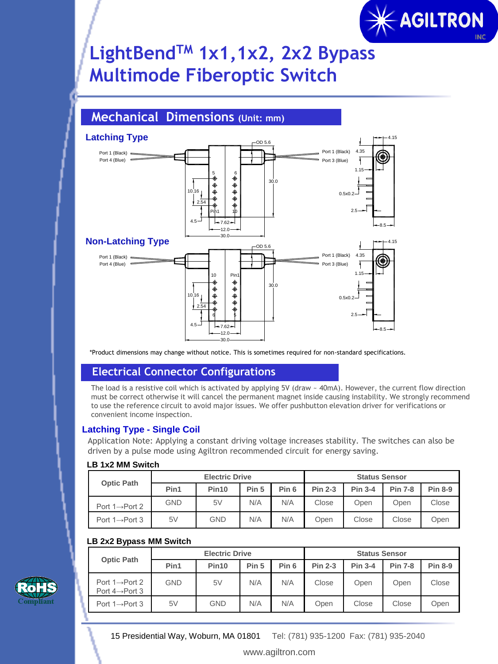

# **LightBendTM 1x1,1x2, 2x2 Bypass Multimode Fiberoptic Switch**

## **Mechanical Dimensions (Unit: mm)**



\*Product dimensions may change without notice. This is sometimes required for non-standard specifications.

### **Electrical Connector Configurations**

The load is a resistive coil which is activated by applying 5V (draw ~ 40mA). However, the current flow direction must be correct otherwise it will cancel the permanent magnet inside causing instability. We strongly recommend to use the reference circuit to avoid major issues. We offer pushbutton elevation driver for verifications or convenient income inspection.

#### **Latching Type - Single Coil**

Application Note: Applying a constant driving voltage increases stability. The switches can also be driven by a pulse mode using Agiltron recommended circuit for energy saving.

#### **LB 1x2 MM Switch**

| <b>Optic Path</b>           |      | <b>Electric Drive</b> |       | <b>Status Sensor</b> |                |                |                |                |
|-----------------------------|------|-----------------------|-------|----------------------|----------------|----------------|----------------|----------------|
|                             | Pin1 | Pin <sub>10</sub>     | Pin 5 | Pin <sub>6</sub>     | <b>Pin 2-3</b> | <b>Pin 3-4</b> | <b>Pin 7-8</b> | <b>Pin 8-9</b> |
| Port $1 \rightarrow$ Port 2 | GND  | 5V                    | N/A   | N/A                  | Close          | Open           | Open           | Close          |
| Port $1 \rightarrow$ Port 3 | 5V   | <b>GND</b>            | N/A   | N/A                  | Open           | Close          | Close          | Open           |

#### **LB 2x2 Bypass MM Switch**

|                                                            |      | <b>Electric Drive</b> |       |                  | <b>Status Sensor</b> |                |                |                |
|------------------------------------------------------------|------|-----------------------|-------|------------------|----------------------|----------------|----------------|----------------|
| <b>Optic Path</b>                                          | Pin1 | Pin <sub>10</sub>     | Pin 5 | Pin <sub>6</sub> | <b>Pin 2-3</b>       | <b>Pin 3-4</b> | <b>Pin 7-8</b> | <b>Pin 8-9</b> |
| Port $1 \rightarrow$ Port 2<br>Port $4 \rightarrow$ Port 3 | GND  | 5V                    | N/A   | N/A              | Close                | Open           | Open           | Close          |
| Port $1 \rightarrow$ Port 3                                | 5V   | <b>GND</b>            | N/A   | N/A              | Open                 | Close          | Close          | Open           |

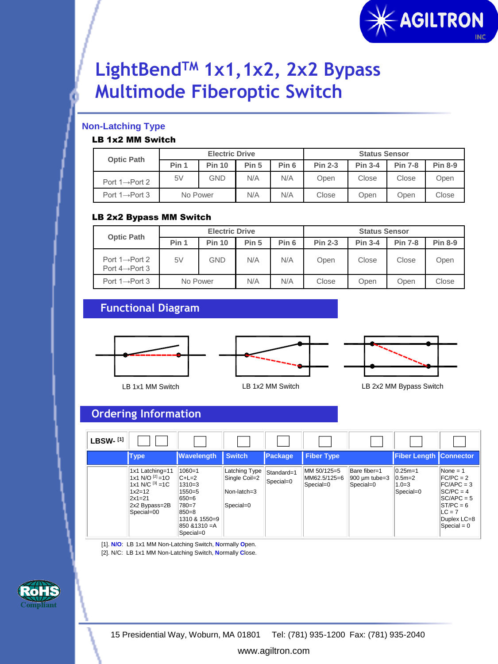

# **LightBendTM 1x1,1x2, 2x2 Bypass Multimode Fiberoptic Switch**

#### **Non-Latching Type**

#### LB 1x2 MM Switch

| <b>Optic Path</b>           | <b>Electric Drive</b> |               |       |                  | <b>Status Sensor</b> |                |                |                |
|-----------------------------|-----------------------|---------------|-------|------------------|----------------------|----------------|----------------|----------------|
|                             | Pin 1                 | <b>Pin 10</b> | Pin 5 | Pin <sub>6</sub> | <b>Pin 2-3</b>       | <b>Pin 3-4</b> | <b>Pin 7-8</b> | <b>Pin 8-9</b> |
| Port $1 \rightarrow$ Port 2 | 5V                    | GND           | N/A   | N/A              | Open                 | Close          | Close          | Open           |
| Port $1 \rightarrow$ Port 3 | No Power              |               | N/A   | N/A              | Close                | Open           | Open           | Close          |

#### LB 2x2 Bypass MM Switch

| <b>Optic Path</b>                                          | <b>Electric Drive</b> |               |       |                  | <b>Status Sensor</b> |                |                |                |  |
|------------------------------------------------------------|-----------------------|---------------|-------|------------------|----------------------|----------------|----------------|----------------|--|
|                                                            | Pin 1                 | <b>Pin 10</b> | Pin 5 | Pin <sub>6</sub> | <b>Pin 2-3</b>       | <b>Pin 3-4</b> | <b>Pin 7-8</b> | <b>Pin 8-9</b> |  |
| Port $1 \rightarrow$ Port 2<br>Port $4 \rightarrow$ Port 3 | 5V                    | GND           | N/A   | N/A              | Open                 | Close          | Close          | Open           |  |
| Port $1 \rightarrow$ Port 3                                | No Power              |               | N/A   | N/A              | Close                | Open           | Open           | Close          |  |

## **Functional Diagram**



### **Ordering Information**

| <b>LBSW-[1]</b> |                                                                                                                          |                                                                                                                      |                                                            |                         |                                          |                                            |                                                  |                                                                                                                                     |
|-----------------|--------------------------------------------------------------------------------------------------------------------------|----------------------------------------------------------------------------------------------------------------------|------------------------------------------------------------|-------------------------|------------------------------------------|--------------------------------------------|--------------------------------------------------|-------------------------------------------------------------------------------------------------------------------------------------|
|                 | <b>Type</b>                                                                                                              | <b>Wavelength</b>                                                                                                    | <b>Switch</b>                                              | Package                 | <b>Fiber Type</b>                        |                                            | <b>Fiber Length Connector</b>                    |                                                                                                                                     |
|                 | 1x1 Latching=11<br>1x1 N/O $^{[2]}=10$<br>1x1 N/C $^{[3]} = 1C$<br>$1x2 = 12$<br>$2x1=21$<br>2x2 Bypass=2B<br>Special=00 | $1060 = 1$<br>$C+L=2$<br>1310=3<br>1550=5<br>650=6<br>780=7<br>850=8<br>1310 & 1550=9<br>850 & 1310 = A<br>Special=0 | Latching Type<br>Single Coil=2<br>Non-latch=3<br>Special=0 | Standard=1<br>Special=0 | MM 50/125=5<br>MM62.5/125=6<br>Special=0 | Bare fiber=1<br>900 um tube=3<br>Special=0 | $ 0.25m=1$<br>$0.5m=2$<br>$1.0 = 3$<br>Special=0 | $None = 1$<br>$FC/PC = 2$<br>$FC/APC = 3$<br>$SC/PC = 4$<br>$SC/APC = 5$<br>$ST/PC = 6$<br>$LC = 7$<br>Duplex LC=8<br>$Special = 0$ |

[1]. **N/O**: LB 1x1 MM Non-Latching Switch, **N**ormally **O**pen. [2]. N/C: LB 1x1 MM Non-Latching Switch, **N**ormally **C**lose.



www.agiltron.com